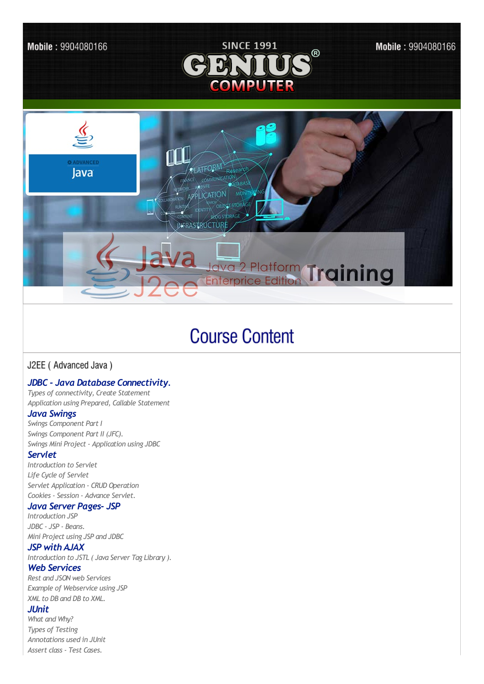



Mobile: 9904080166



# **Course Content**

## J2EE (Advanced Java)

## *JDBC - Java Database Connectivity.*

*Types of connectivity, Create Statement Application using Prepared, Callable Statement*

#### *Java Swings*

*Swings Component Part I Swings Component Part II (JFC). Swings Mini Project - Application using JDBC*

#### *Servlet*

*Introduction to Servlet Life Cycle of Servlet Servlet Application - CRUD Operation Cookies - Session - Advance Servlet.*

#### *Java Server Pages- JSP*

*Introduction JSP JDBC - JSP - Beans. Mini Project using JSP and JDBC*

## *JSP with AJAX*

*Introduction to JSTL ( Java Server Tag Library ).*

## *Web Services*

*Rest and JSON web Services Example of Webservice using JSP XML to DB and DB to XML.*

## *JUnit*

*What and Why? Types of Testing Annotations used in JUnit Assert class - Test Cases.*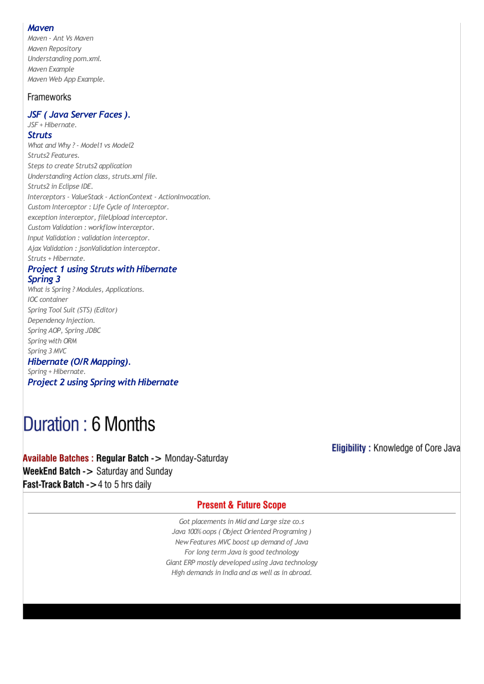#### *Maven*

*Maven - Ant Vs Maven Maven Repository Understanding pom.xml. Maven Example Maven Web App Example.*

## Frameworks

#### *JSF ( Java Server Faces). JSF + Hibernate.*

## *Struts*

*What and Why ? - Model1 vs Model2 Struts2 Features. Steps to create Struts2 application Understanding Action class, struts.xmlfile. Struts2 in Eclipse IDE. Interceptors - ValueStack - ActionContext - ActionInvocation. Custom Interceptor : Life Cycle of Interceptor. exception interceptor, fileUpload interceptor. Custom Validation : workflowinterceptor. Input Validation : validation interceptor. Ajax Validation : jsonValidation interceptor. Struts + Hibernate.*

#### *Project 1 using Struts with Hibernate Spring 3*

*What is Spring ? Modules, Applications. IOC container Spring Tool Suit (STS) (Editor) Dependency Injection. Spring AOP, Spring JDBC Spring with ORM Spring 3 MVC Hibernate (O/RMapping).*

*Spring + Hibernate. Project 2 using Spring with Hibernate*

# Duration: 6 Months

Available Batches : Regular Batch -> Monday-Saturday WeekEnd Batch -> Saturday and Sunday Fast-Track Batch ->4 to 5 hrs daily

**Eligibility: Knowledge of Core Java** 

### **Present & Future Scope**

*Got placements in Mid and Large size co.s Java 100% oops ( Object Oriented Programing ) NewFeatures MVC boost up demand of Java For long term Java is good technology Giant ERP mostly developed using Java technology High demands in India and as well as in abroad.*